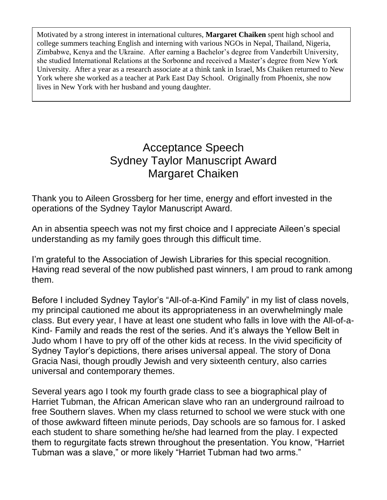Motivated by a strong interest in international cultures, **Margaret Chaiken** spent high school and college summers teaching English and interning with various NGOs in Nepal, Thailand, Nigeria, Zimbabwe, Kenya and the Ukraine. After earning a Bachelor's degree from Vanderbilt University, she studied International Relations at the Sorbonne and received a Master's degree from New York University. After a year as a research associate at a think tank in Israel, Ms Chaiken returned to New York where she worked as a teacher at Park East Day School. Originally from Phoenix, she now lives in New York with her husband and young daughter.

## Acceptance Speech Sydney Taylor Manuscript Award Margaret Chaiken

Thank you to Aileen Grossberg for her time, energy and effort invested in the operations of the Sydney Taylor Manuscript Award.

An in absentia speech was not my first choice and I appreciate Aileen's special understanding as my family goes through this difficult time.

I'm grateful to the Association of Jewish Libraries for this special recognition. Having read several of the now published past winners, I am proud to rank among them.

Before I included Sydney Taylor's "All-of-a-Kind Family" in my list of class novels, my principal cautioned me about its appropriateness in an overwhelmingly male class. But every year, I have at least one student who falls in love with the All-of-a-Kind- Family and reads the rest of the series. And it's always the Yellow Belt in Judo whom I have to pry off of the other kids at recess. In the vivid specificity of Sydney Taylor's depictions, there arises universal appeal. The story of Dona Gracia Nasi, though proudly Jewish and very sixteenth century, also carries universal and contemporary themes.

Several years ago I took my fourth grade class to see a biographical play of Harriet Tubman, the African American slave who ran an underground railroad to free Southern slaves. When my class returned to school we were stuck with one of those awkward fifteen minute periods, Day schools are so famous for. I asked each student to share something he/she had learned from the play. I expected them to regurgitate facts strewn throughout the presentation. You know, "Harriet Tubman was a slave," or more likely "Harriet Tubman had two arms."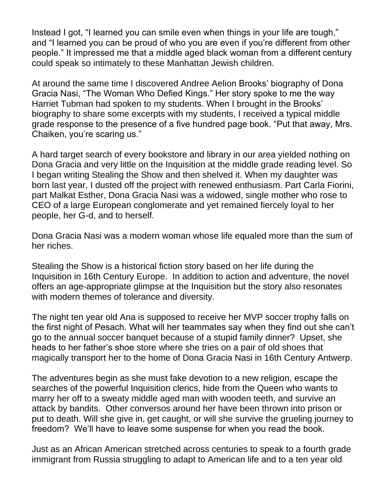Instead I got, "I learned you can smile even when things in your life are tough," and "I learned you can be proud of who you are even if you're different from other people." It impressed me that a middle aged black woman from a different century could speak so intimately to these Manhattan Jewish children.

At around the same time I discovered Andree Aelion Brooks' biography of Dona Gracia Nasi, "The Woman Who Defied Kings." Her story spoke to me the way Harriet Tubman had spoken to my students. When I brought in the Brooks' biography to share some excerpts with my students, I received a typical middle grade response to the presence of a five hundred page book. "Put that away, Mrs. Chaiken, you're scaring us."

A hard target search of every bookstore and library in our area yielded nothing on Dona Gracia and very little on the Inquisition at the middle grade reading level. So I began writing Stealing the Show and then shelved it. When my daughter was born last year, I dusted off the project with renewed enthusiasm. Part Carla Fiorini, part Malkat Esther, Dona Gracia Nasi was a widowed, single mother who rose to CEO of a large European conglomerate and yet remained fiercely loyal to her people, her G-d, and to herself.

Dona Gracia Nasi was a modern woman whose life equaled more than the sum of her riches.

Stealing the Show is a historical fiction story based on her life during the Inquisition in 16th Century Europe. In addition to action and adventure, the novel offers an age-appropriate glimpse at the Inquisition but the story also resonates with modern themes of tolerance and diversity.

The night ten year old Ana is supposed to receive her MVP soccer trophy falls on the first night of Pesach. What will her teammates say when they find out she can't go to the annual soccer banquet because of a stupid family dinner? Upset, she heads to her father's shoe store where she tries on a pair of old shoes that magically transport her to the home of Dona Gracia Nasi in 16th Century Antwerp.

The adventures begin as she must fake devotion to a new religion, escape the searches of the powerful Inquisition clerics, hide from the Queen who wants to marry her off to a sweaty middle aged man with wooden teeth, and survive an attack by bandits. Other conversos around her have been thrown into prison or put to death. Will she give in, get caught, or will she survive the grueling journey to freedom? We'll have to leave some suspense for when you read the book.

Just as an African American stretched across centuries to speak to a fourth grade immigrant from Russia struggling to adapt to American life and to a ten year old